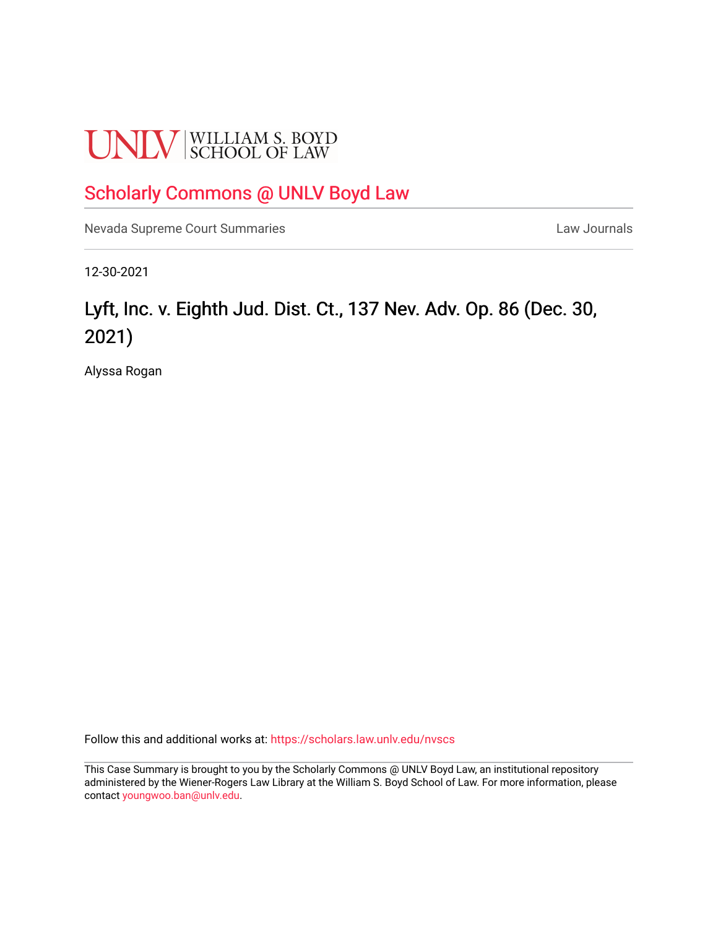# **UNLV** SCHOOL OF LAW

### [Scholarly Commons @ UNLV Boyd Law](https://scholars.law.unlv.edu/)

[Nevada Supreme Court Summaries](https://scholars.law.unlv.edu/nvscs) **Law Journals** Law Journals

12-30-2021

## Lyft, Inc. v. Eighth Jud. Dist. Ct., 137 Nev. Adv. Op. 86 (Dec. 30, 2021)

Alyssa Rogan

Follow this and additional works at: [https://scholars.law.unlv.edu/nvscs](https://scholars.law.unlv.edu/nvscs?utm_source=scholars.law.unlv.edu%2Fnvscs%2F1472&utm_medium=PDF&utm_campaign=PDFCoverPages)

This Case Summary is brought to you by the Scholarly Commons @ UNLV Boyd Law, an institutional repository administered by the Wiener-Rogers Law Library at the William S. Boyd School of Law. For more information, please contact [youngwoo.ban@unlv.edu](mailto:youngwoo.ban@unlv.edu).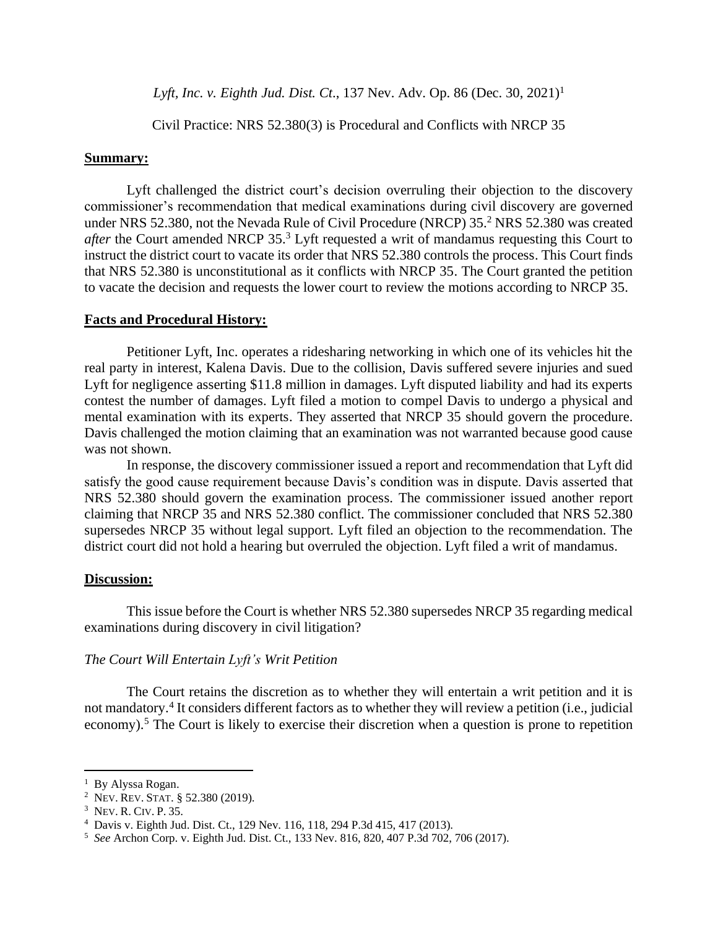*Lyft, Inc. v. Eighth Jud. Dist. Ct.,* 137 Nev. Adv. Op. 86 (Dec. 30, 2021)<sup>1</sup>

Civil Practice: NRS 52.380(3) is Procedural and Conflicts with NRCP 35

#### **Summary:**

Lyft challenged the district court's decision overruling their objection to the discovery commissioner's recommendation that medical examinations during civil discovery are governed under NRS 52.380, not the Nevada Rule of Civil Procedure (NRCP) 35. <sup>2</sup> NRS 52.380 was created *after* the Court amended NRCP 35. <sup>3</sup> Lyft requested a writ of mandamus requesting this Court to instruct the district court to vacate its order that NRS 52.380 controls the process. This Court finds that NRS 52.380 is unconstitutional as it conflicts with NRCP 35. The Court granted the petition to vacate the decision and requests the lower court to review the motions according to NRCP 35.

#### **Facts and Procedural History:**

Petitioner Lyft, Inc. operates a ridesharing networking in which one of its vehicles hit the real party in interest, Kalena Davis. Due to the collision, Davis suffered severe injuries and sued Lyft for negligence asserting \$11.8 million in damages. Lyft disputed liability and had its experts contest the number of damages. Lyft filed a motion to compel Davis to undergo a physical and mental examination with its experts. They asserted that NRCP 35 should govern the procedure. Davis challenged the motion claiming that an examination was not warranted because good cause was not shown.

In response, the discovery commissioner issued a report and recommendation that Lyft did satisfy the good cause requirement because Davis's condition was in dispute. Davis asserted that NRS 52.380 should govern the examination process. The commissioner issued another report claiming that NRCP 35 and NRS 52.380 conflict. The commissioner concluded that NRS 52.380 supersedes NRCP 35 without legal support. Lyft filed an objection to the recommendation. The district court did not hold a hearing but overruled the objection. Lyft filed a writ of mandamus.

#### **Discussion:**

This issue before the Court is whether NRS 52.380 supersedes NRCP 35 regarding medical examinations during discovery in civil litigation?

#### *The Court Will Entertain Lyft's Writ Petition*

The Court retains the discretion as to whether they will entertain a writ petition and it is not mandatory.<sup>4</sup> It considers different factors as to whether they will review a petition (i.e., judicial economy).<sup>5</sup> The Court is likely to exercise their discretion when a question is prone to repetition

<sup>&</sup>lt;sup>1</sup> By Alyssa Rogan.

<sup>&</sup>lt;sup>2</sup> Nev. Rev. Stat. § 52.380 (2019).

<sup>&</sup>lt;sup>3</sup> NEV. R. CIV. P. 35.

<sup>4</sup> Davis v. Eighth Jud. Dist. Ct., 129 Nev. 116, 118, 294 P.3d 415, 417 (2013).

<sup>5</sup> *See* Archon Corp. v. Eighth Jud. Dist. Ct., 133 Nev. 816, 820, 407 P.3d 702, 706 (2017).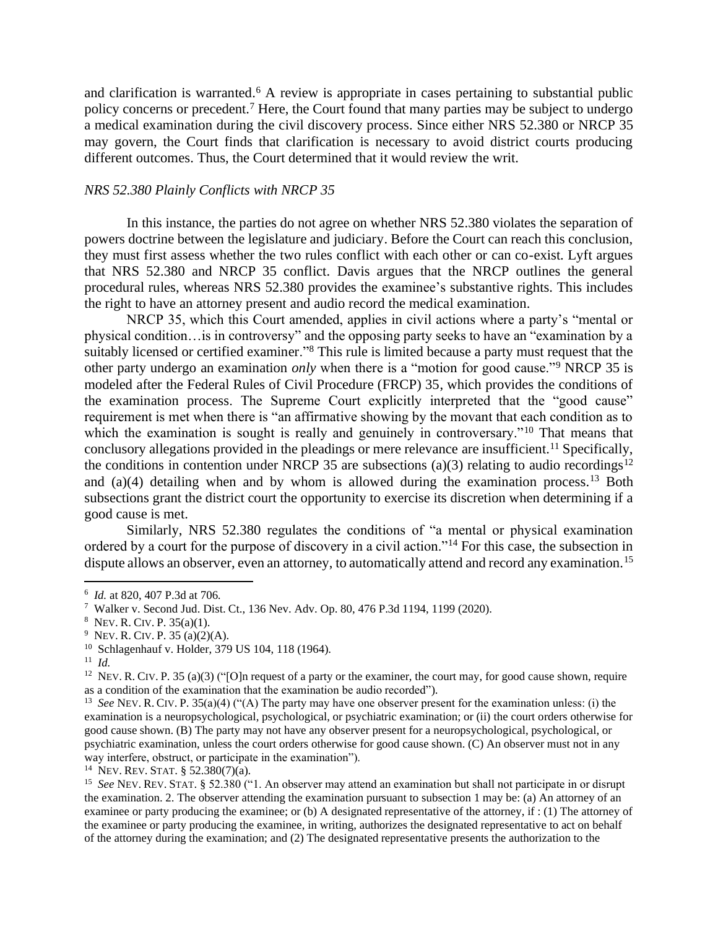and clarification is warranted.<sup>6</sup> A review is appropriate in cases pertaining to substantial public policy concerns or precedent.<sup>7</sup> Here, the Court found that many parties may be subject to undergo a medical examination during the civil discovery process. Since either NRS 52.380 or NRCP 35 may govern, the Court finds that clarification is necessary to avoid district courts producing different outcomes. Thus, the Court determined that it would review the writ.

#### *NRS 52.380 Plainly Conflicts with NRCP 35*

In this instance, the parties do not agree on whether NRS 52.380 violates the separation of powers doctrine between the legislature and judiciary. Before the Court can reach this conclusion, they must first assess whether the two rules conflict with each other or can co-exist. Lyft argues that NRS 52.380 and NRCP 35 conflict. Davis argues that the NRCP outlines the general procedural rules, whereas NRS 52.380 provides the examinee's substantive rights. This includes the right to have an attorney present and audio record the medical examination.

NRCP 35, which this Court amended, applies in civil actions where a party's "mental or physical condition…is in controversy" and the opposing party seeks to have an "examination by a suitably licensed or certified examiner."<sup>8</sup> This rule is limited because a party must request that the other party undergo an examination *only* when there is a "motion for good cause."<sup>9</sup> NRCP 35 is modeled after the Federal Rules of Civil Procedure (FRCP) 35, which provides the conditions of the examination process. The Supreme Court explicitly interpreted that the "good cause" requirement is met when there is "an affirmative showing by the movant that each condition as to which the examination is sought is really and genuinely in controversary."<sup>10</sup> That means that conclusory allegations provided in the pleadings or mere relevance are insufficient.<sup>11</sup> Specifically, the conditions in contention under NRCP 35 are subsections (a)(3) relating to audio recordings<sup>12</sup> and (a)(4) detailing when and by whom is allowed during the examination process.<sup>13</sup> Both subsections grant the district court the opportunity to exercise its discretion when determining if a good cause is met.

Similarly, NRS 52.380 regulates the conditions of "a mental or physical examination ordered by a court for the purpose of discovery in a civil action."<sup>14</sup> For this case, the subsection in dispute allows an observer, even an attorney, to automatically attend and record any examination.<sup>15</sup>

14 NEV. REV.STAT. § 52.380(7)(a).

<sup>6</sup> *Id.* at 820, 407 P.3d at 706*.*

<sup>7</sup> Walker v. Second Jud. Dist. Ct., 136 Nev. Adv. Op. 80, 476 P.3d 1194, 1199 (2020).

 $8$  Nev. R. Civ. P. 35(a)(1).

<sup>&</sup>lt;sup>9</sup> Nev. R. Civ. P. 35 (a)(2)(A).

<sup>&</sup>lt;sup>10</sup> Schlagenhauf v. Holder, 379 US 104, 118 (1964).

<sup>11</sup> *Id.*

<sup>&</sup>lt;sup>12</sup> NEV. R. CIV. P. 35 (a)(3) ("[O]n request of a party or the examiner, the court may, for good cause shown, require as a condition of the examination that the examination be audio recorded").

<sup>&</sup>lt;sup>13</sup> See NEV. R. CIV. P. 35(a)(4) ("(A) The party may have one observer present for the examination unless: (i) the examination is a neuropsychological, psychological, or psychiatric examination; or (ii) the court orders otherwise for good cause shown. (B) The party may not have any observer present for a neuropsychological, psychological, or psychiatric examination, unless the court orders otherwise for good cause shown. (C) An observer must not in any way interfere, obstruct, or participate in the examination").

<sup>&</sup>lt;sup>15</sup> See NEV. REV. STAT. § 52.380 ("1. An observer may attend an examination but shall not participate in or disrupt the examination. 2. The observer attending the examination pursuant to subsection 1 may be: (a) An attorney of an examinee or party producing the examinee; or (b) A designated representative of the attorney, if : (1) The attorney of the examinee or party producing the examinee, in writing, authorizes the designated representative to act on behalf of the attorney during the examination; and (2) The designated representative presents the authorization to the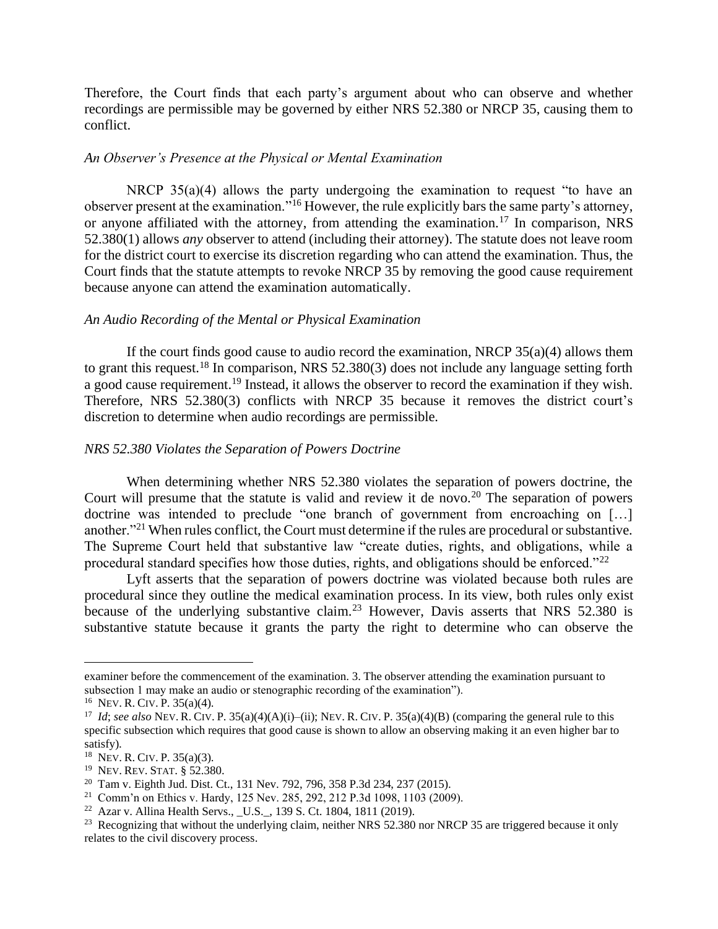Therefore, the Court finds that each party's argument about who can observe and whether recordings are permissible may be governed by either NRS 52.380 or NRCP 35, causing them to conflict.

#### *An Observer's Presence at the Physical or Mental Examination*

NRCP 35(a)(4) allows the party undergoing the examination to request "to have an observer present at the examination."<sup>16</sup> However, the rule explicitly bars the same party's attorney, or anyone affiliated with the attorney, from attending the examination.<sup>17</sup> In comparison, NRS 52.380(1) allows *any* observer to attend (including their attorney). The statute does not leave room for the district court to exercise its discretion regarding who can attend the examination. Thus, the Court finds that the statute attempts to revoke NRCP 35 by removing the good cause requirement because anyone can attend the examination automatically.

#### *An Audio Recording of the Mental or Physical Examination*

If the court finds good cause to audio record the examination, NRCP  $35(a)(4)$  allows them to grant this request.<sup>18</sup> In comparison, NRS 52.380(3) does not include any language setting forth a good cause requirement.<sup>19</sup> Instead, it allows the observer to record the examination if they wish. Therefore, NRS 52.380(3) conflicts with NRCP 35 because it removes the district court's discretion to determine when audio recordings are permissible.

#### *NRS 52.380 Violates the Separation of Powers Doctrine*

When determining whether NRS 52.380 violates the separation of powers doctrine, the Court will presume that the statute is valid and review it de novo.<sup>20</sup> The separation of powers doctrine was intended to preclude "one branch of government from encroaching on […] another."<sup>21</sup> When rules conflict, the Court must determine if the rules are procedural or substantive. The Supreme Court held that substantive law "create duties, rights, and obligations, while a procedural standard specifies how those duties, rights, and obligations should be enforced." $^{22}$ 

Lyft asserts that the separation of powers doctrine was violated because both rules are procedural since they outline the medical examination process. In its view, both rules only exist because of the underlying substantive claim.<sup>23</sup> However, Davis asserts that NRS 52.380 is substantive statute because it grants the party the right to determine who can observe the

examiner before the commencement of the examination. 3. The observer attending the examination pursuant to subsection 1 may make an audio or stenographic recording of the examination").

<sup>16</sup> NEV. R. CIV.P. 35(a)(4).

<sup>&</sup>lt;sup>17</sup> *Id*; see also NEV. R. CIV. P. 35(a)(4)(A)(i)–(ii); NEV. R. CIV. P. 35(a)(4)(B) (comparing the general rule to this specific subsection which requires that good cause is shown to allow an observing making it an even higher bar to satisfy).

<sup>18</sup> NEV. R. CIV.P. 35(a)(3).

<sup>&</sup>lt;sup>19</sup> NEV. REV. STAT. § 52.380.

<sup>20</sup> Tam v. Eighth Jud. Dist. Ct., 131 Nev. 792, 796, 358 P.3d 234, 237 (2015).

<sup>&</sup>lt;sup>21</sup> Comm'n on Ethics v. Hardy, 125 Nev. 285, 292, 212 P.3d 1098, 1103 (2009).

<sup>22</sup> Azar v. Allina Health Servs., \_U.S.\_, 139 S. Ct. 1804, 1811 (2019).

<sup>&</sup>lt;sup>23</sup> Recognizing that without the underlying claim, neither NRS 52.380 nor NRCP 35 are triggered because it only relates to the civil discovery process.